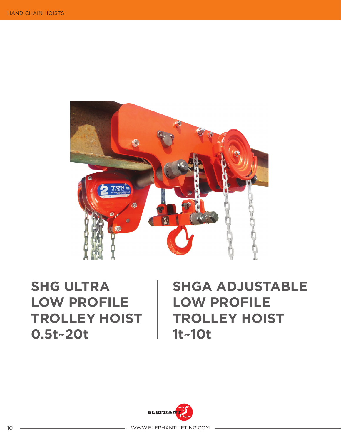

## **SHG ULTRA LOW PROFILE TROLLEY HOIST 0.5t~20t**

## **SHGA ADJUSTABLE LOW PROFILE TROLLEY HOIST 1t~10t**